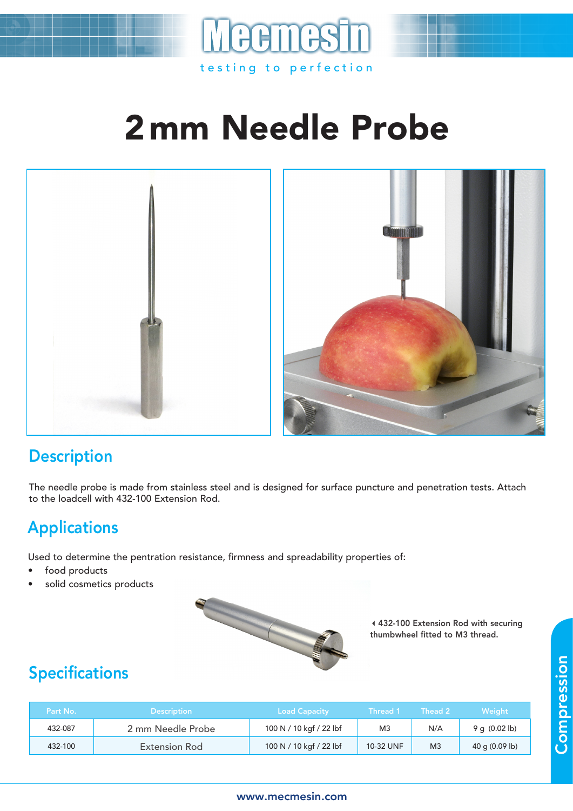

# 2mm Needle Probe



#### **Description**

The needle probe is made from stainless steel and is designed for surface puncture and penetration tests. Attach to the loadcell with 432-100 Extension Rod.

### Applications

Used to determine the pentration resistance, firmness and spreadability properties of:

- food products
- solid cosmetics products



432-100 Extension Rod with securing thumbwheel fitted to M3 thread.

## Specifications

| Part No. | <b>Description</b> | <b>Load Capacity</b>    | Thread 1  | Thead 2        | Weiaht                   |
|----------|--------------------|-------------------------|-----------|----------------|--------------------------|
| 432-087  | 2 mm Needle Probe  | 100 N / 10 kgf / 22 lbf | M3        | N/A            | 9 q $(0.02 \text{ lb})$  |
| 432-100  | Extension Rod      | 100 N / 10 kgf / 22 lbf | 10-32 UNF | M <sub>3</sub> | 40 g $(0.09 \text{ lb})$ |

#### www.mecmesin.com